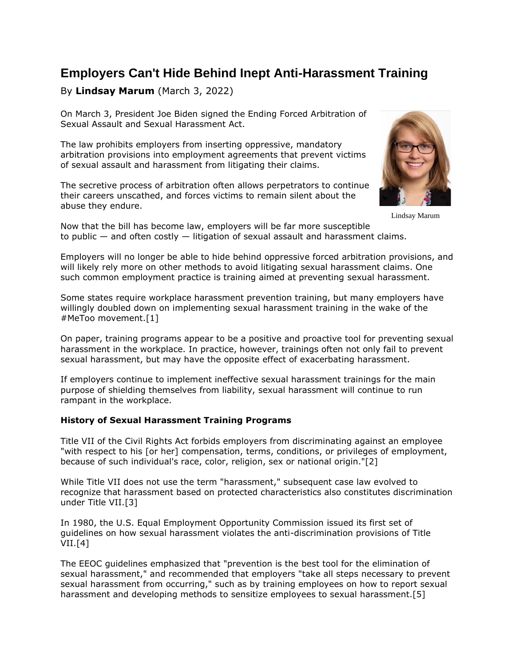# **Employers Can't Hide Behind Inept Anti-Harassment Training**

## By **Lindsay Marum** (March 3, 2022)

On March 3, President Joe Biden [signed](https://www.law360.com/employment-authority/discrimination/articles/1470129/mandatory-arbitration-of-sex-harassment-claims-now-illegal?nl_pk=e6da7704-0675-4660-aeb8-3996c0967bc7&utm_source=newsletter&utm_medium=email&utm_campaign=employment-authority/discrimination) the Ending Forced Arbitration of Sexual Assault and Sexual Harassment Act.

The law prohibits employers from inserting oppressive, mandatory arbitration provisions into employment agreements that prevent victims of sexual assault and harassment from litigating their claims.

The secretive process of arbitration often allows perpetrators to continue their careers unscathed, and forces victims to remain silent about the abuse they endure.



Lindsay Marum

Now that the bill has become law, employers will be far more susceptible to public — and often costly — litigation of sexual assault and harassment claims.

Employers will no longer be able to hide behind oppressive forced arbitration provisions, and will likely rely more on other methods to avoid litigating sexual harassment claims. One such common employment practice is training aimed at preventing sexual harassment.

Some states require workplace harassment prevention training, but many employers have willingly doubled down on implementing sexual harassment training in the wake of the #MeToo movement.[1]

On paper, training programs appear to be a positive and proactive tool for preventing sexual harassment in the workplace. In practice, however, trainings often not only fail to prevent sexual harassment, but may have the opposite effect of exacerbating harassment.

If employers continue to implement ineffective sexual harassment trainings for the main purpose of shielding themselves from liability, sexual harassment will continue to run rampant in the workplace.

### **History of Sexual Harassment Training Programs**

Title VII of the Civil Rights Act forbids employers from discriminating against an employee "with respect to his [or her] compensation, terms, conditions, or privileges of employment, because of such individual's race, color, religion, sex or national origin."[2]

While Title VII does not use the term "harassment," subsequent case law evolved to recognize that harassment based on protected characteristics also constitutes discrimination under Title VII.[3]

In 1980, the [U.S. Equal Employment Opportunity Commission](https://www.law360.com/agencies/equal-employment-opportunity-commission) issued its first set of guidelines on how sexual harassment violates the anti-discrimination provisions of Title  $VII.[4]$ 

The EEOC guidelines emphasized that "prevention is the best tool for the elimination of sexual harassment," and recommended that employers "take all steps necessary to prevent sexual harassment from occurring," such as by training employees on how to report sexual harassment and developing methods to sensitize employees to sexual harassment.[5]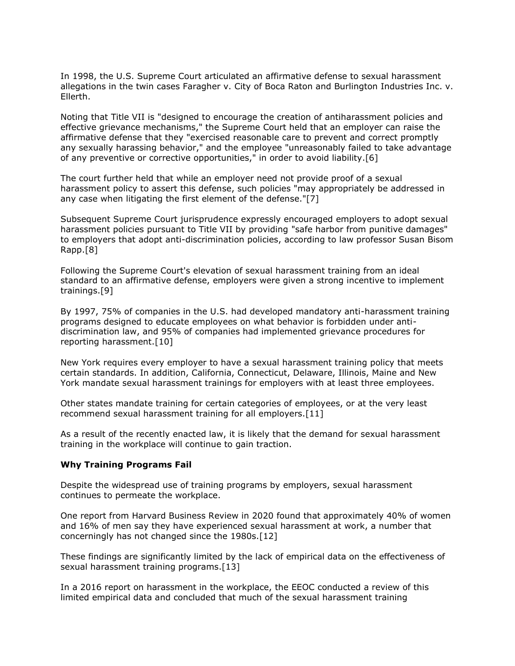In 1998, the [U.S. Supreme Court](https://www.law360.com/agencies/u-s-supreme-court) articulated an affirmative defense to sexual harassment allegations in the twin cases Faragher v. City of Boca Raton and Burlington Industries Inc. v. Ellerth.

Noting that Title VII is "designed to encourage the creation of antiharassment policies and effective grievance mechanisms," the Supreme Court held that an employer can raise the affirmative defense that they "exercised reasonable care to prevent and correct promptly any sexually harassing behavior," and the employee "unreasonably failed to take advantage of any preventive or corrective opportunities," in order to avoid liability.[6]

The court further held that while an employer need not provide proof of a sexual harassment policy to assert this defense, such policies "may appropriately be addressed in any case when litigating the first element of the defense."[7]

Subsequent Supreme Court jurisprudence expressly encouraged employers to adopt sexual harassment policies pursuant to Title VII by providing "safe harbor from punitive damages" to employers that adopt anti-discrimination policies, according to law professor Susan Bisom Rapp.[8]

Following the Supreme Court's elevation of sexual harassment training from an ideal standard to an affirmative defense, employers were given a strong incentive to implement trainings.[9]

By 1997, 75% of companies in the U.S. had developed mandatory anti-harassment training programs designed to educate employees on what behavior is forbidden under antidiscrimination law, and 95% of companies had implemented grievance procedures for reporting harassment.[10]

New York requires every employer to have a sexual harassment training policy that meets certain standards. In addition, California, Connecticut, Delaware, Illinois, Maine and New York mandate sexual harassment trainings for employers with at least three employees.

Other states mandate training for certain categories of employees, or at the very least recommend sexual harassment training for all employers.[11]

As a result of the recently enacted law, it is likely that the demand for sexual harassment training in the workplace will continue to gain traction.

#### **Why Training Programs Fail**

Despite the widespread use of training programs by employers, sexual harassment continues to permeate the workplace.

One report from Harvard Business Review in 2020 found that approximately 40% of women and 16% of men say they have experienced sexual harassment at work, a number that concerningly has not changed since the 1980s.[12]

These findings are significantly limited by the lack of empirical data on the effectiveness of sexual harassment training programs.[13]

In a 2016 report on harassment in the workplace, the EEOC conducted a review of this limited empirical data and concluded that much of the sexual harassment training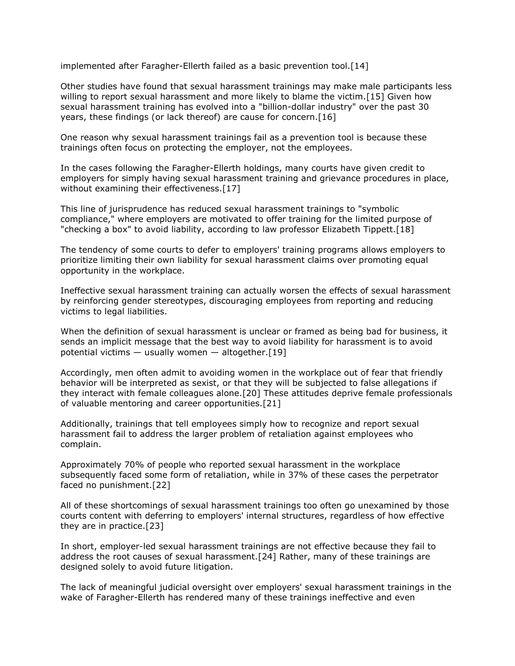implemented after Faragher-Ellerth failed as a basic prevention tool.[14]

Other studies have found that sexual harassment trainings may make male participants less willing to report sexual harassment and more likely to blame the victim.[15] Given how sexual harassment training has evolved into a "billion-dollar industry" over the past 30 years, these findings (or lack thereof) are cause for concern.[16]

One reason why sexual harassment trainings fail as a prevention tool is because these trainings often focus on protecting the employer, not the employees.

In the cases following the Faragher-Ellerth holdings, many courts have given credit to employers for simply having sexual harassment training and grievance procedures in place, without examining their effectiveness.[17]

This line of jurisprudence has reduced sexual harassment trainings to "symbolic compliance," where employers are motivated to offer training for the limited purpose of "checking a box" to avoid liability, according to law professor Elizabeth Tippett.[18]

The tendency of some courts to defer to employers' training programs allows employers to prioritize limiting their own liability for sexual harassment claims over promoting equal opportunity in the workplace.

Ineffective sexual harassment training can actually worsen the effects of sexual harassment by reinforcing gender stereotypes, discouraging employees from reporting and reducing victims to legal liabilities.

When the definition of sexual harassment is unclear or framed as being bad for business, it sends an implicit message that the best way to avoid liability for harassment is to avoid potential victims  $-$  usually women  $-$  altogether. [19]

Accordingly, men often admit to avoiding women in the workplace out of fear that friendly behavior will be interpreted as sexist, or that they will be subjected to false allegations if they interact with female colleagues alone.[20] These attitudes deprive female professionals of valuable mentoring and career opportunities.[21]

Additionally, trainings that tell employees simply how to recognize and report sexual harassment fail to address the larger problem of retaliation against employees who complain.

Approximately 70% of people who reported sexual harassment in the workplace subsequently faced some form of retaliation, while in 37% of these cases the perpetrator faced no punishment.[22]

All of these shortcomings of sexual harassment trainings too often go unexamined by those courts content with deferring to employers' internal structures, regardless of how effective they are in practice.[23]

In short, employer-led sexual harassment trainings are not effective because they fail to address the root causes of sexual harassment.[24] Rather, many of these trainings are designed solely to avoid future litigation.

The lack of meaningful judicial oversight over employers' sexual harassment trainings in the wake of Faragher-Ellerth has rendered many of these trainings ineffective and even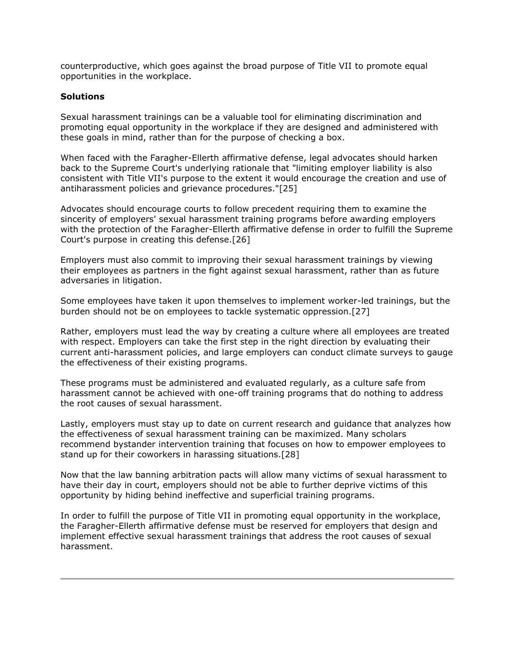counterproductive, which goes against the broad purpose of Title VII to promote equal opportunities in the workplace.

### **Solutions**

Sexual harassment trainings can be a valuable tool for eliminating discrimination and promoting equal opportunity in the workplace if they are designed and administered with these goals in mind, rather than for the purpose of checking a box.

When faced with the Faragher-Ellerth affirmative defense, legal advocates should harken back to the Supreme Court's underlying rationale that "limiting employer liability is also consistent with Title VII's purpose to the extent it would encourage the creation and use of antiharassment policies and grievance procedures."[25]

Advocates should encourage courts to follow precedent requiring them to examine the sincerity of employers' sexual harassment training programs before awarding employers with the protection of the Faragher-Ellerth affirmative defense in order to fulfill the Supreme Court's purpose in creating this defense.[26]

Employers must also commit to improving their sexual harassment trainings by viewing their employees as partners in the fight against sexual harassment, rather than as future adversaries in litigation.

Some employees have taken it upon themselves to implement worker-led trainings, but the burden should not be on employees to tackle systematic oppression.[27]

Rather, employers must lead the way by creating a culture where all employees are treated with respect. Employers can take the first step in the right direction by evaluating their current anti-harassment policies, and large employers can conduct climate surveys to gauge the effectiveness of their existing programs.

These programs must be administered and evaluated regularly, as a culture safe from harassment cannot be achieved with one-off training programs that do nothing to address the root causes of sexual harassment.

Lastly, employers must stay up to date on current research and guidance that analyzes how the effectiveness of sexual harassment training can be maximized. Many scholars recommend bystander intervention training that focuses on how to empower employees to stand up for their coworkers in harassing situations.[28]

Now that the law banning arbitration pacts will allow many victims of sexual harassment to have their day in court, employers should not be able to further deprive victims of this opportunity by hiding behind ineffective and superficial training programs.

In order to fulfill the purpose of Title VII in promoting equal opportunity in the workplace, the Faragher-Ellerth affirmative defense must be reserved for employers that design and implement effective sexual harassment trainings that address the root causes of sexual harassment.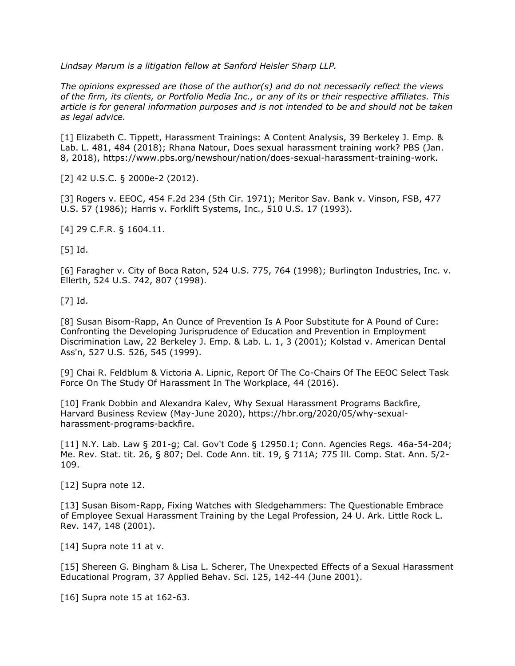*[Lindsay Marum](https://www.sanfordheisler.com/team/lindsay-marum/) is a litigation fellow at [Sanford Heisler Sharp LLP.](https://www.law360.com/firms/sanford-heisler)*

*The opinions expressed are those of the author(s) and do not necessarily reflect the views of the firm, its clients, or Portfolio Media Inc., or any of its or their respective affiliates. This article is for general information purposes and is not intended to be and should not be taken as legal advice.*

[1] Elizabeth C. Tippett, Harassment Trainings: A Content Analysis, 39 Berkeley J. Emp. & Lab. L. 481, 484 (2018); Rhana Natour, Does sexual harassment training work? [PBS](https://www.law360.com/companies/public-broadcasting-service) (Jan. 8, 2018), [https://www.pbs.org/newshour/nation/does-sexual-harassment-training-work.](https://www.pbs.org/newshour/nation/does-sexual-harassment-training-work)

[2] 42 U.S.C. § 2000e-2 (2012).

[3] [Rogers v. EEOC,](https://advance.lexis.com/api/search?q=1971%20U.S.%20App.%20LEXIS%206509&qlang=bool&origination=law360&internalOrigination=article_id%3D1469889%3Bcitation%3D1971%20U.S.%20App.%20LEXIS%206509&originationDetail=headline%3DEmployers%20Can%27t%20Hide%20Behind%20Inept%20Anti-Harassment%20Training&) 454 F.2d 234 (5th Cir. 1971); [Meritor Sav. Bank v. Vinson, FSB,](https://advance.lexis.com/api/search?q=1986%20U.S.%20LEXIS%20108&qlang=bool&origination=law360&internalOrigination=article_id%3D1469889%3Bcitation%3D1986%20U.S.%20LEXIS%20108&originationDetail=headline%3DEmployers%20Can%27t%20Hide%20Behind%20Inept%20Anti-Harassment%20Training&) 477 U.S. 57 (1986); [Harris v. Forklift Systems, Inc.,](https://advance.lexis.com/api/search?q=1993%20U.S.%20LEXIS%207155&qlang=bool&origination=law360&internalOrigination=article_id%3D1469889%3Bcitation%3D1993%20U.S.%20LEXIS%207155&originationDetail=headline%3DEmployers%20Can%27t%20Hide%20Behind%20Inept%20Anti-Harassment%20Training&) 510 U.S. 17 (1993).

[4] 29 C.F.R. § 1604.11.

[5] Id.

[6] [Faragher v. City of Boca Raton,](https://advance.lexis.com/api/search?q=1998%20U.S.%20LEXIS%204216&qlang=bool&origination=law360&internalOrigination=article_id%3D1469889%3Bcitation%3D1998%20U.S.%20LEXIS%204216&originationDetail=headline%3DEmployers%20Can%27t%20Hide%20Behind%20Inept%20Anti-Harassment%20Training&) 524 U.S. 775, 764 (1998); [Burlington Industries, Inc. v.](https://advance.lexis.com/api/search?q=1998%20U.S.%20LEXIS%204217&qlang=bool&origination=law360&internalOrigination=article_id%3D1469889%3Bcitation%3D1998%20U.S.%20LEXIS%204217&originationDetail=headline%3DEmployers%20Can%27t%20Hide%20Behind%20Inept%20Anti-Harassment%20Training&)  [Ellerth,](https://advance.lexis.com/api/search?q=1998%20U.S.%20LEXIS%204217&qlang=bool&origination=law360&internalOrigination=article_id%3D1469889%3Bcitation%3D1998%20U.S.%20LEXIS%204217&originationDetail=headline%3DEmployers%20Can%27t%20Hide%20Behind%20Inept%20Anti-Harassment%20Training&) 524 U.S. 742, 807 (1998).

[7] Id.

[8] Susan Bisom-Rapp, An Ounce of Prevention Is A Poor Substitute for A Pound of Cure: Confronting the Developing Jurisprudence of Education and Prevention in Employment Discrimination Law, 22 Berkeley J. Emp. & Lab. L. 1, 3 (2001); [Kolstad v. American Dental](https://advance.lexis.com/api/search?q=1999%20U.S.%20LEXIS%204372&qlang=bool&origination=law360&internalOrigination=article_id%3D1469889%3Bcitation%3D1999%20U.S.%20LEXIS%204372&originationDetail=headline%3DEmployers%20Can%27t%20Hide%20Behind%20Inept%20Anti-Harassment%20Training&)  [Ass'n,](https://advance.lexis.com/api/search?q=1999%20U.S.%20LEXIS%204372&qlang=bool&origination=law360&internalOrigination=article_id%3D1469889%3Bcitation%3D1999%20U.S.%20LEXIS%204372&originationDetail=headline%3DEmployers%20Can%27t%20Hide%20Behind%20Inept%20Anti-Harassment%20Training&) 527 U.S. 526, 545 (1999).

[9] Chai R. Feldblum & Victoria A. Lipnic, Report Of The Co-Chairs Of The EEOC Select Task Force On The Study Of Harassment In The Workplace, 44 (2016).

[10] Frank Dobbin and Alexandra Kalev, Why Sexual Harassment Programs Backfire, Harvard Business Review (May-June 2020), [https://hbr.org/2020/05/why-sexual](https://hbr.org/2020/05/why-sexual-harassment-programs-backfire)[harassment-programs-backfire.](https://hbr.org/2020/05/why-sexual-harassment-programs-backfire)

[11] N.Y. Lab. Law § 201-g; Cal. Gov't Code § 12950.1; Conn. Agencies Regs. 46a-54-204; Me. Rev. Stat. tit. 26, § 807; Del. Code Ann. tit. 19, § 711A; 775 Ill. Comp. Stat. Ann. 5/2- 109.

[12] Supra note 12.

[13] Susan Bisom-Rapp, Fixing Watches with Sledgehammers: The Questionable Embrace of Employee Sexual Harassment Training by the Legal Profession, 24 U. Ark. Little Rock L. Rev. 147, 148 (2001).

[14] Supra note 11 at v.

[15] Shereen G. Bingham & Lisa L. Scherer, The Unexpected Effects of a Sexual Harassment Educational Program, 37 Applied Behav. Sci. 125, 142-44 (June 2001).

[16] Supra note 15 at 162-63.